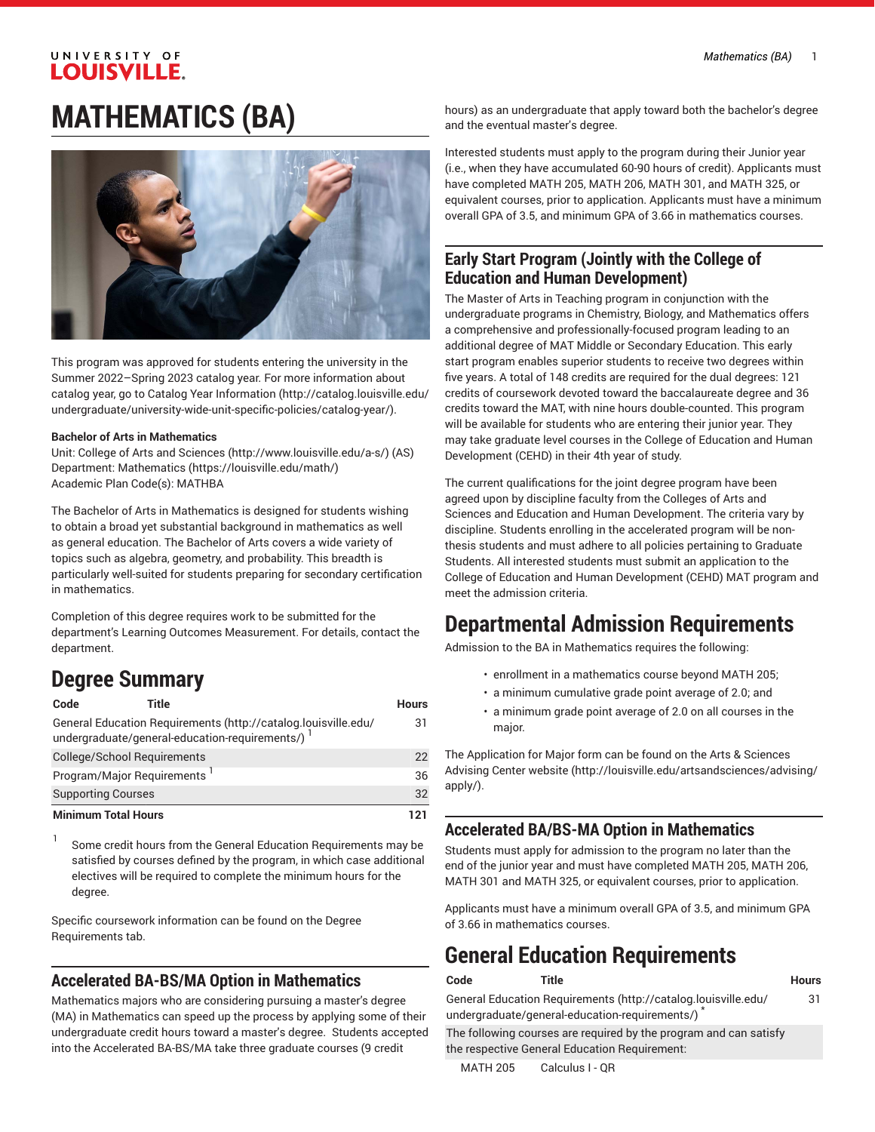# UNIVERSITY OF **LOUISVILLE. MATHEMATICS (BA)**



This program was approved for students entering the university in the Summer 2022–Spring 2023 catalog year. For more information about catalog year, go to Catalog Year [Information](http://catalog.louisville.edu/undergraduate/university-wide-unit-specific-policies/catalog-year/) ([http://catalog.louisville.edu/](http://catalog.louisville.edu/undergraduate/university-wide-unit-specific-policies/catalog-year/) [undergraduate/university-wide-unit-specific-policies/catalog-year/](http://catalog.louisville.edu/undergraduate/university-wide-unit-specific-policies/catalog-year/)).

#### **Bachelor of Arts in Mathematics**

Unit: College of Arts and [Sciences \(http://www.louisville.edu/a-s/\)](http://www.louisville.edu/a-s/) (AS) Department: [Mathematics](https://louisville.edu/math/) (<https://louisville.edu/math/>) Academic Plan Code(s): MATHBA

The Bachelor of Arts in Mathematics is designed for students wishing to obtain a broad yet substantial background in mathematics as well as general education. The Bachelor of Arts covers a wide variety of topics such as algebra, geometry, and probability. This breadth is particularly well-suited for students preparing for secondary certification in mathematics.

Completion of this degree requires work to be submitted for the department's Learning Outcomes Measurement. For details, contact the department.

# **Degree Summary**

| Code                               | Title                                                                                                              | <b>Hours</b> |
|------------------------------------|--------------------------------------------------------------------------------------------------------------------|--------------|
|                                    | General Education Requirements (http://catalog.louisville.edu/<br>undergraduate/general-education-requirements/) 1 | 31           |
| <b>College/School Requirements</b> |                                                                                                                    | 22           |
| Program/Major Requirements         |                                                                                                                    | 36           |
| <b>Supporting Courses</b>          |                                                                                                                    | 32           |
| <b>Minimum Total Hours</b>         |                                                                                                                    | 121          |

1 Some credit hours from the General Education Requirements may be satisfied by courses defined by the program, in which case additional electives will be required to complete the minimum hours for the degree.

Specific coursework information can be found on the Degree Requirements tab.

### **Accelerated BA-BS/MA Option in Mathematics**

Mathematics majors who are considering pursuing a master's degree (MA) in Mathematics can speed up the process by applying some of their undergraduate credit hours toward a master's degree. Students accepted into the Accelerated BA-BS/MA take three graduate courses (9 credit

hours) as an undergraduate that apply toward both the bachelor's degree and the eventual master's degree.

Interested students must apply to the program during their Junior year (i.e., when they have accumulated 60-90 hours of credit). Applicants must have completed MATH 205, MATH 206, MATH 301, and MATH 325, or equivalent courses, prior to application. Applicants must have a minimum overall GPA of 3.5, and minimum GPA of 3.66 in mathematics courses.

### **Early Start Program (Jointly with the College of Education and Human Development)**

The Master of Arts in Teaching program in conjunction with the undergraduate programs in Chemistry, Biology, and Mathematics offers a comprehensive and professionally-focused program leading to an additional degree of MAT Middle or Secondary Education. This early start program enables superior students to receive two degrees within five years. A total of 148 credits are required for the dual degrees: 121 credits of coursework devoted toward the baccalaureate degree and 36 credits toward the MAT, with nine hours double-counted. This program will be available for students who are entering their junior year. They may take graduate level courses in the College of Education and Human Development (CEHD) in their 4th year of study.

The current qualifications for the joint degree program have been agreed upon by discipline faculty from the Colleges of Arts and Sciences and Education and Human Development. The criteria vary by discipline. Students enrolling in the accelerated program will be nonthesis students and must adhere to all policies pertaining to Graduate Students. All interested students must submit an application to the College of Education and Human Development (CEHD) MAT program and meet the admission criteria.

# **Departmental Admission Requirements**

Admission to the BA in Mathematics requires the following:

- enrollment in a mathematics course beyond MATH 205;
- a minimum cumulative grade point average of 2.0; and
- a minimum grade point average of 2.0 on all courses in the major.

The Application for Major form can be found on the Arts & [Sciences](http://louisville.edu/artsandsciences/advising/apply/) [Advising Center website](http://louisville.edu/artsandsciences/advising/apply/) ([http://louisville.edu/artsandsciences/advising/](http://louisville.edu/artsandsciences/advising/apply/) [apply/](http://louisville.edu/artsandsciences/advising/apply/)).

### **Accelerated BA/BS-MA Option in Mathematics**

Students must apply for admission to the program no later than the end of the junior year and must have completed MATH 205, MATH 206, MATH 301 and MATH 325, or equivalent courses, prior to application.

Applicants must have a minimum overall GPA of 3.5, and minimum GPA of 3.66 in mathematics courses.

# **General Education Requirements**

| Code | Title                                                                                                            | Hours |
|------|------------------------------------------------------------------------------------------------------------------|-------|
|      | General Education Requirements (http://catalog.louisville.edu/<br>undergraduate/general-education-requirements/) | 31    |
|      | The following courses are required by the program and can satisfy                                                |       |
|      | the respective General Education Requirement:                                                                    |       |

MATH 205 Calculus I - QR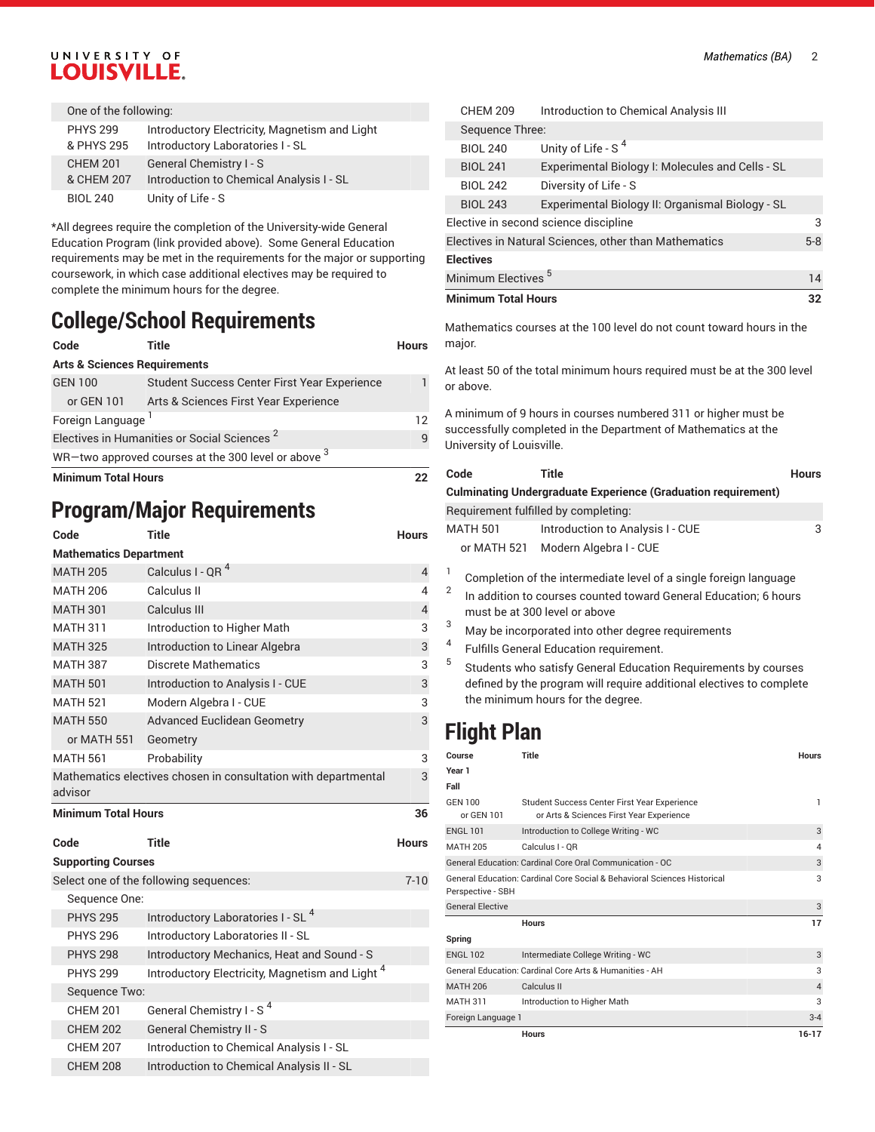#### *Mathematics (BA)* 2

### UNIVERSITY OF LOUISVILLE.

| One of the following:         |                                                                                   |
|-------------------------------|-----------------------------------------------------------------------------------|
| <b>PHYS 299</b><br>& PHYS 295 | Introductory Electricity, Magnetism and Light<br>Introductory Laboratories I - SL |
| <b>CHEM 201</b><br>& CHEM 207 | General Chemistry I - S<br>Introduction to Chemical Analysis I - SL               |
| <b>BIOL 240</b>               | Unity of Life - S                                                                 |

\*All degrees require the completion of the University-wide General Education Program (link provided above). Some General Education requirements may be met in the requirements for the major or supporting coursework, in which case additional electives may be required to complete the minimum hours for the degree.

# **College/School Requirements**

| Code                                                    | Title                                        | <b>Hours</b> |
|---------------------------------------------------------|----------------------------------------------|--------------|
| <b>Arts &amp; Sciences Requirements</b>                 |                                              |              |
| <b>GEN 100</b>                                          | Student Success Center First Year Experience |              |
| or GEN 101                                              | Arts & Sciences First Year Experience        |              |
| Foreign Language                                        |                                              |              |
| Electives in Humanities or Social Sciences <sup>2</sup> |                                              | q            |
| WR-two approved courses at the 300 level or above 3     |                                              |              |
| <b>Minimum Total Hours</b>                              |                                              |              |

# **Program/Major Requirements**

#### **Code Title Hours Mathematics Department**

| <b>Mathematics Department</b> |                                                                |                |
|-------------------------------|----------------------------------------------------------------|----------------|
| <b>MATH 205</b>               | Calculus I - QR <sup>4</sup>                                   | $\overline{4}$ |
| <b>MATH 206</b>               | Calculus II                                                    | 4              |
| <b>MATH 301</b>               | Calculus III                                                   | $\overline{4}$ |
| <b>MATH 311</b>               | Introduction to Higher Math                                    | 3              |
| <b>MATH 325</b>               | Introduction to Linear Algebra                                 | 3              |
| <b>MATH 387</b>               | <b>Discrete Mathematics</b>                                    | 3              |
| <b>MATH 501</b>               | Introduction to Analysis I - CUE                               | 3              |
| <b>MATH 521</b>               | Modern Algebra I - CUE                                         | 3              |
| <b>MATH 550</b>               | <b>Advanced Euclidean Geometry</b>                             | 3              |
| or MATH 551                   | Geometry                                                       |                |
| <b>MATH 561</b>               | Probability                                                    | 3              |
| advisor                       | Mathematics electives chosen in consultation with departmental | 3              |
| <b>Minimum Total Hours</b>    |                                                                | 36             |
| Code                          | <b>Title</b>                                                   | <b>Hours</b>   |
| <b>Supporting Courses</b>     |                                                                |                |
|                               | Select one of the following sequences:                         | $7 - 10$       |
| Sequence One:                 |                                                                |                |
| <b>PHYS 295</b>               | Introductory Laboratories I - SL <sup>4</sup>                  |                |
|                               |                                                                |                |
| <b>PHYS 296</b>               | Introductory Laboratories II - SL                              |                |
| <b>PHYS 298</b>               | Introductory Mechanics, Heat and Sound - S                     |                |
| <b>PHYS 299</b>               | Introductory Electricity, Magnetism and Light <sup>4</sup>     |                |
| Sequence Two:                 |                                                                |                |
| <b>CHEM 201</b>               | General Chemistry I - S <sup>4</sup>                           |                |
| <b>CHEM 202</b>               | General Chemistry II - S                                       |                |
| <b>CHEM 207</b>               | Introduction to Chemical Analysis I - SL                       |                |

| <b>CHEM 209</b>                                       | Introduction to Chemical Analysis III            |  |  |
|-------------------------------------------------------|--------------------------------------------------|--|--|
| Sequence Three:                                       |                                                  |  |  |
| <b>BIOL 240</b>                                       | Unity of Life - S <sup>4</sup>                   |  |  |
| <b>BIOL 241</b>                                       | Experimental Biology I: Molecules and Cells - SL |  |  |
| <b>BIOL 242</b>                                       | Diversity of Life - S                            |  |  |
| <b>BIOL 243</b>                                       | Experimental Biology II: Organismal Biology - SL |  |  |
| Elective in second science discipline                 |                                                  |  |  |
| Electives in Natural Sciences, other than Mathematics |                                                  |  |  |
| <b>Electives</b>                                      |                                                  |  |  |
| Minimum Electives <sup>5</sup><br>14                  |                                                  |  |  |
| <b>Minimum Total Hours</b>                            |                                                  |  |  |

Mathematics courses at the 100 level do not count toward hours in the major.

At least 50 of the total minimum hours required must be at the 300 level or above.

A minimum of 9 hours in courses numbered 311 or higher must be successfully completed in the Department of Mathematics at the University of Louisville.

| Code                                                                 | Title                                                                                                                                                                                                                                                                                                  | Hours |  |
|----------------------------------------------------------------------|--------------------------------------------------------------------------------------------------------------------------------------------------------------------------------------------------------------------------------------------------------------------------------------------------------|-------|--|
| <b>Culminating Undergraduate Experience (Graduation requirement)</b> |                                                                                                                                                                                                                                                                                                        |       |  |
|                                                                      | Requirement fulfilled by completing:                                                                                                                                                                                                                                                                   |       |  |
| <b>MATH 501</b>                                                      | Introduction to Analysis I - CUE                                                                                                                                                                                                                                                                       | 3     |  |
|                                                                      | or MATH 521 Modern Algebra I - CUE                                                                                                                                                                                                                                                                     |       |  |
|                                                                      | Completion of the intermediate level of a single foreign language<br>the contribution of the compact of a contribution of $\alpha$ contribution of the contribution of the compact of the compact of the compact of the compact of the compact of the compact of the compact of the compact of the com |       |  |

In addition to courses counted toward General Education; 6 hours must be at 300 level or above

- <sup>3</sup> May be incorporated into other degree requirements
- 4 Fulfills General Education requirement.
- 5 Students who satisfy General Education Requirements by courses defined by the program will require additional electives to complete the minimum hours for the degree.

# **Flight Plan**

| Course                                                  | Title                                                                                    | <b>Hours</b>   |
|---------------------------------------------------------|------------------------------------------------------------------------------------------|----------------|
| Year 1                                                  |                                                                                          |                |
| Fall                                                    |                                                                                          |                |
| <b>GEN 100</b><br>or GEN 101                            | Student Success Center First Year Experience<br>or Arts & Sciences First Year Experience | 1              |
| <b>ENGL 101</b>                                         | Introduction to College Writing - WC                                                     | 3              |
| <b>MATH 205</b>                                         | Calculus I - OR                                                                          | $\overline{4}$ |
|                                                         | General Education: Cardinal Core Oral Communication - OC                                 | 3              |
| Perspective - SBH                                       | General Education: Cardinal Core Social & Behavioral Sciences Historical                 | 3              |
| <b>General Elective</b>                                 |                                                                                          | 3              |
|                                                         | <b>Hours</b>                                                                             | 17             |
| Spring                                                  |                                                                                          |                |
| <b>ENGL 102</b>                                         | Intermediate College Writing - WC                                                        | 3              |
| General Education: Cardinal Core Arts & Humanities - AH |                                                                                          | 3              |
| <b>MATH 206</b>                                         | Calculus II                                                                              | $\overline{4}$ |
| <b>MATH 311</b>                                         | Introduction to Higher Math                                                              | 3              |
| Foreign Language 1                                      |                                                                                          | $3 - 4$        |
|                                                         | <b>Hours</b>                                                                             | $16 - 17$      |